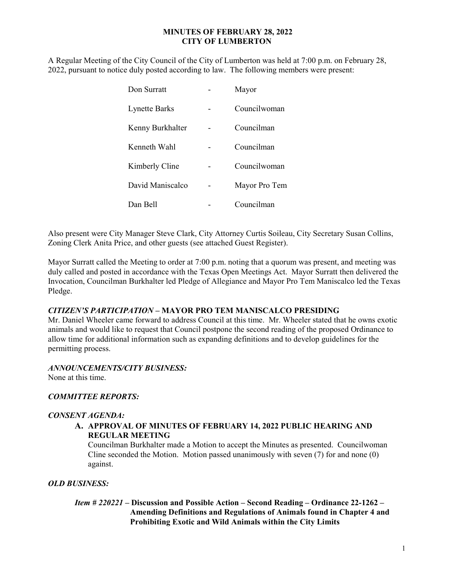### MINUTES OF FEBRUARY 28, 2022 CITY OF LUMBERTON

A Regular Meeting of the City Council of the City of Lumberton was held at 7:00 p.m. on February 28, 2022, pursuant to notice duly posted according to law. The following members were present:

| Don Surratt          | Mayor         |
|----------------------|---------------|
| <b>Lynette Barks</b> | Councilwoman  |
| Kenny Burkhalter     | Councilman    |
| Kenneth Wahl         | Councilman    |
| Kimberly Cline       | Councilwoman  |
| David Maniscalco     | Mayor Pro Tem |
| Dan Bell             | Councilman    |

Also present were City Manager Steve Clark, City Attorney Curtis Soileau, City Secretary Susan Collins, Zoning Clerk Anita Price, and other guests (see attached Guest Register).

Mayor Surratt called the Meeting to order at 7:00 p.m. noting that a quorum was present, and meeting was duly called and posted in accordance with the Texas Open Meetings Act. Mayor Surratt then delivered the Invocation, Councilman Burkhalter led Pledge of Allegiance and Mayor Pro Tem Maniscalco led the Texas Pledge.

### CITIZEN'S PARTICIPATION – MAYOR PRO TEM MANISCALCO PRESIDING

Mr. Daniel Wheeler came forward to address Council at this time. Mr. Wheeler stated that he owns exotic animals and would like to request that Council postpone the second reading of the proposed Ordinance to allow time for additional information such as expanding definitions and to develop guidelines for the permitting process.

### ANNOUNCEMENTS/CITY BUSINESS:

None at this time.

### COMMITTEE REPORTS:

#### CONSENT AGENDA:

### A. APPROVAL OF MINUTES OF FEBRUARY 14, 2022 PUBLIC HEARING AND REGULAR MEETING

Councilman Burkhalter made a Motion to accept the Minutes as presented. Councilwoman Cline seconded the Motion. Motion passed unanimously with seven (7) for and none (0) against.

### OLD BUSINESS:

 Item # 220221 – Discussion and Possible Action – Second Reading – Ordinance 22-1262 – Amending Definitions and Regulations of Animals found in Chapter 4 and Prohibiting Exotic and Wild Animals within the City Limits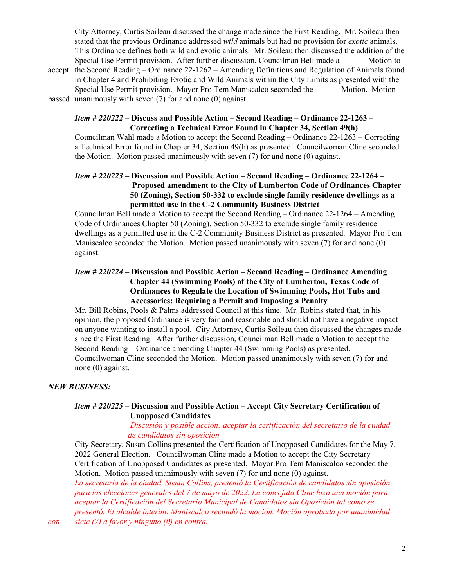City Attorney, Curtis Soileau discussed the change made since the First Reading. Mr. Soileau then stated that the previous Ordinance addressed *wild* animals but had no provision for *exotic* animals. This Ordinance defines both wild and exotic animals. Mr. Soileau then discussed the addition of the Special Use Permit provision. After further discussion, Councilman Bell made a Motion to accept the Second Reading – Ordinance 22-1262 – Amending Definitions and Regulation of Animals found in Chapter 4 and Prohibiting Exotic and Wild Animals within the City Limits as presented with the Special Use Permit provision. Mayor Pro Tem Maniscalco seconded the Motion. Motion passed unanimously with seven (7) for and none (0) against.

### Item # 220222 – Discuss and Possible Action – Second Reading – Ordinance 22-1263 – Correcting a Technical Error Found in Chapter 34, Section 49(h)

 Councilman Wahl made a Motion to accept the Second Reading – Ordinance 22-1263 – Correcting a Technical Error found in Chapter 34, Section 49(h) as presented. Councilwoman Cline seconded the Motion. Motion passed unanimously with seven (7) for and none (0) against.

## Item # 220223 – Discussion and Possible Action – Second Reading – Ordinance 22-1264 – Proposed amendment to the City of Lumberton Code of Ordinances Chapter 50 (Zoning), Section 50-332 to exclude single family residence dwellings as a permitted use in the C-2 Community Business District

Councilman Bell made a Motion to accept the Second Reading – Ordinance 22-1264 – Amending Code of Ordinances Chapter 50 (Zoning), Section 50-332 to exclude single family residence dwellings as a permitted use in the C-2 Community Business District as presented. Mayor Pro Tem Maniscalco seconded the Motion. Motion passed unanimously with seven (7) for and none (0) against.

## Item # 220224 – Discussion and Possible Action – Second Reading – Ordinance Amending Chapter 44 (Swimming Pools) of the City of Lumberton, Texas Code of Ordinances to Regulate the Location of Swimming Pools, Hot Tubs and Accessories; Requiring a Permit and Imposing a Penalty

 Mr. Bill Robins, Pools & Palms addressed Council at this time. Mr. Robins stated that, in his opinion, the proposed Ordinance is very fair and reasonable and should not have a negative impact on anyone wanting to install a pool. City Attorney, Curtis Soileau then discussed the changes made since the First Reading. After further discussion, Councilman Bell made a Motion to accept the Second Reading – Ordinance amending Chapter 44 (Swimming Pools) as presented. Councilwoman Cline seconded the Motion. Motion passed unanimously with seven (7) for and none (0) against.

## NEW BUSINESS:

## Item # 220225 – Discussion and Possible Action – Accept City Secretary Certification of Unopposed Candidates

### Discusión y posible acción: aceptar la certificación del secretario de la ciudad de candidatos sin oposición

City Secretary, Susan Collins presented the Certification of Unopposed Candidates for the May 7, 2022 General Election. Councilwoman Cline made a Motion to accept the City Secretary Certification of Unopposed Candidates as presented. Mayor Pro Tem Maniscalco seconded the Motion. Motion passed unanimously with seven (7) for and none (0) against.

La secretaria de la ciudad, Susan Collins, presentó la Certificación de candidatos sin oposición para las elecciones generales del 7 de mayo de 2022. La concejala Cline hizo una moción para aceptar la Certificación del Secretario Municipal de Candidatos sin Oposición tal como se presentó. El alcalde interino Maniscalco secundó la moción. Moción aprobada por unanimidad

con siete (7) a favor y ninguno (0) en contra.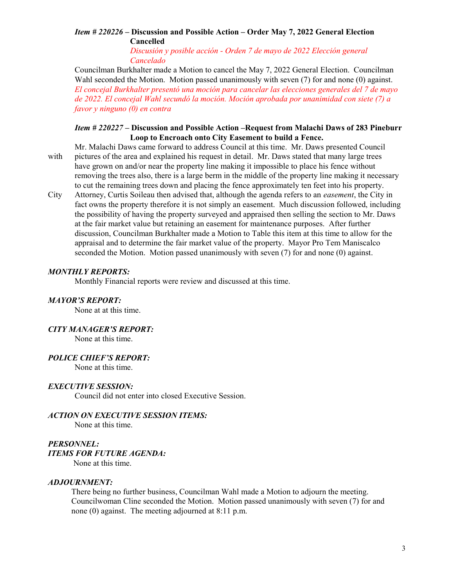# Item # 220226 – Discussion and Possible Action – Order May 7, 2022 General Election Cancelled

 Discusión y posible acción - Orden 7 de mayo de 2022 Elección general Cancelado

Councilman Burkhalter made a Motion to cancel the May 7, 2022 General Election. Councilman Wahl seconded the Motion. Motion passed unanimously with seven (7) for and none (0) against. El concejal Burkhalter presentó una moción para cancelar las elecciones generales del 7 de mayo de 2022. El concejal Wahl secundó la moción. Moción aprobada por unanimidad con siete (7) a favor y ninguno (0) en contra

### Item # 220227 – Discussion and Possible Action –Request from Malachi Daws of 283 Pineburr Loop to Encroach onto City Easement to build a Fence.

- Mr. Malachi Daws came forward to address Council at this time. Mr. Daws presented Council with pictures of the area and explained his request in detail. Mr. Daws stated that many large trees have grown on and/or near the property line making it impossible to place his fence without removing the trees also, there is a large berm in the middle of the property line making it necessary to cut the remaining trees down and placing the fence approximately ten feet into his property.
- City Attorney, Curtis Soileau then advised that, although the agenda refers to an easement, the City in fact owns the property therefore it is not simply an easement. Much discussion followed, including the possibility of having the property surveyed and appraised then selling the section to Mr. Daws at the fair market value but retaining an easement for maintenance purposes. After further discussion, Councilman Burkhalter made a Motion to Table this item at this time to allow for the appraisal and to determine the fair market value of the property. Mayor Pro Tem Maniscalco seconded the Motion. Motion passed unanimously with seven (7) for and none (0) against.

### MONTHLY REPORTS:

Monthly Financial reports were review and discussed at this time.

### MAYOR'S REPORT:

None at at this time.

### CITY MANAGER'S REPORT:

None at this time.

### POLICE CHIEF'S REPORT:

None at this time.

### EXECUTIVE SESSION:

Council did not enter into closed Executive Session.

### ACTION ON EXECUTIVE SESSION ITEMS:

None at this time.

### PERSONNEL:

### ITEMS FOR FUTURE AGENDA:

None at this time.

### ADJOURNMENT:

 There being no further business, Councilman Wahl made a Motion to adjourn the meeting. Councilwoman Cline seconded the Motion. Motion passed unanimously with seven (7) for and none (0) against. The meeting adjourned at 8:11 p.m.